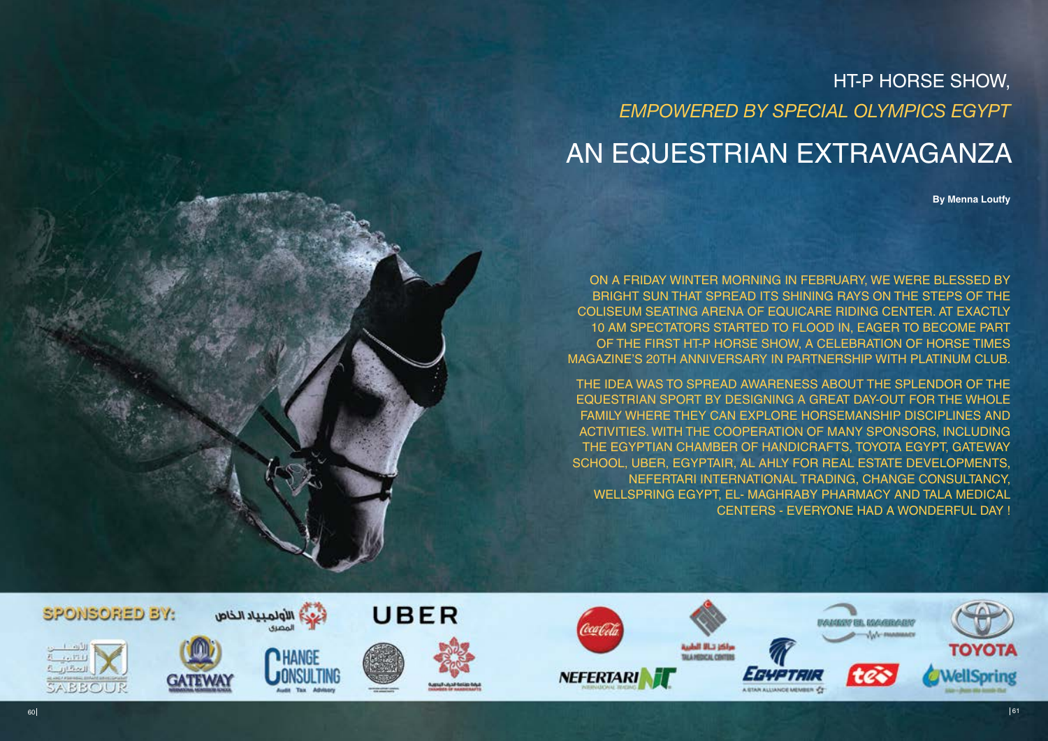HT-P HORSE SHOW, *EMPOWERED BY SPECIAL OLYMPICS EGYPT*

# AN EQUESTRIAN EXTRAVAGANZA

**By Menna Loutfy**

The idea was to spread awareness about the splendor of the equestrian sport by designing a great day-out for the whole family where they can explore horsemanship disciplines and activities. With the cooperation of many sponsors, including The Egyptian Chamber of Handicrafts, Toyota Egypt, Gateway SCHOOL, UBER, EGYPTAIR, AL AHLY FOR REAL ESTATE DEVELOPMENTS, Nefertari International Trading, Change Consultancy, Wellspring Egypt, El- Maghraby Pharmacy and Tala Medical CENTERS - EVERYONE HAD A WONDERFUL DAY !



On a Friday winter morning in February, we were blessed by bright sun that spread its shining rays on the steps of the Coliseum seating arena of Equicare Riding Center. At exactly 10 am spectators started to flood in, eager to become part of the first HT-P Horse show, a celebration of Horse Times Magazine's 20th anniversary in partnership with Platinum Club.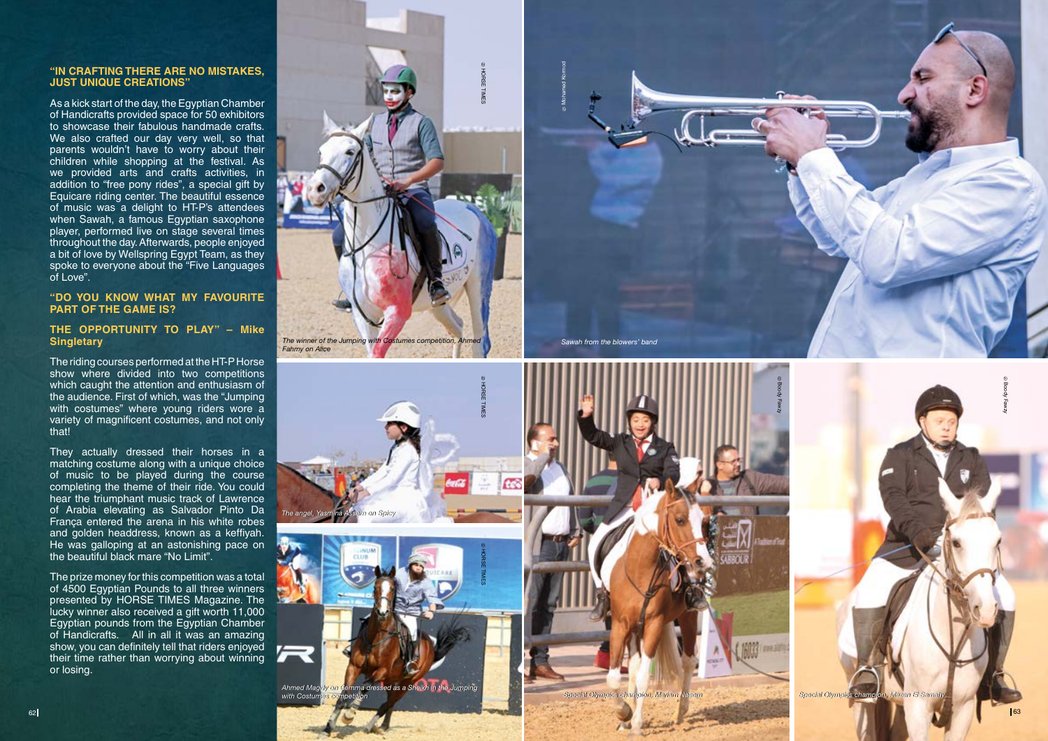#### **"I N CRAFTI NG THERE ARE NO MISTAKES, JUST UNIQUE CREATIONS"**

As a kick start of the day, the Egyptian Chamber of Handicrafts provided space for 50 exhibitors to showcase their fabulous handmade crafts. We also crafted our day very well, so that parents wouldn't have to worry about their children while shopping at the festival. As we provided arts and crafts activities, in addition to "free pony rides", a special gift by Equicare riding center. The beautiful essence of music was a delight to HT-P's attendees when Sawah, a famous Egyptian saxophone player, performed live on stage several times throughout the day. Afterwards, people enjoyed a bit of love by Wellspring Egypt Team, as they spoke to everyone about the "Five Languages of Love".

## **"DO YOU K NOW WHAT M Y FAVOURITE PART OF THE GAME IS?**

## **THE OPPORTU NIT Y TO PLAY" – Mike Singletary**

The riding courses performed at the HT-P Horse show where divided into two competitions which caught the attention and enthusiasm of the audience. First of which, was the "Jumping with costumes" where young riders wore a variety of magnificent costumes, and not only that!

They actually dressed their horses in a matching costume along with a unique choice of music to be played during the course completing the theme of their ride. You could hear the triumphant music track of Lawrence of Arabia elevating as Salvador Pinto Da França entered the arena in his white robes and golden headdress, known as a keffiyah. He was galloping at an astonishing pace on the beautiful black mare "No Limit".

The prize money for this competition was a total of 4500 Egyptian Pounds to all three winners presented by HORSE TIMES Magazine. The lucky winner also received a gift worth 11,000 Egyptian pounds from the Egyptian Chamber of Handicrafts. All in all it was an amazing show, you can definitely tell that riders enjoyed their time rather than worrying about winning or losing.





*Ahmed Magdy on Ahmed Magdy on Gemma dressed as a Sheikh in the Jumping Gemma dressed as a Sheikh in the Jumping with Costumes competition with Costumes competition*



*The winner of the Jumping with Costumes competition, Ahmed Fahmy on Alice*